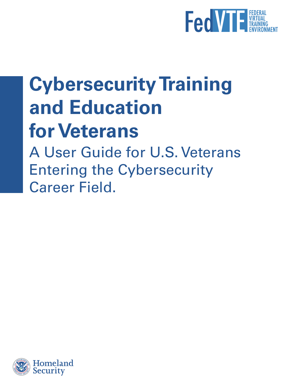

## **Cybersecurity Training and Education for Veterans**

A User Guide for U.S. Veterans Entering the Cybersecurity Career Field.

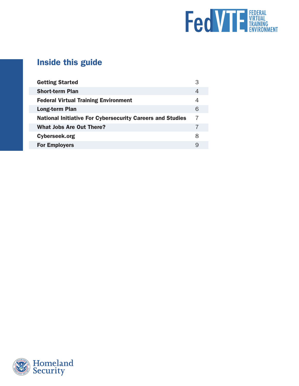

## Inside this guide

| <b>Getting Started</b>                                           | З |
|------------------------------------------------------------------|---|
| <b>Short-term Plan</b>                                           | 4 |
| <b>Federal Virtual Training Environment</b>                      | 4 |
| Long-term Plan                                                   | 6 |
| <b>National Initiative For Cybersecurity Careers and Studies</b> | 7 |
| What Jobs Are Out There?                                         |   |
| Cyberseek.org                                                    | 8 |
| <b>For Employers</b>                                             | 9 |

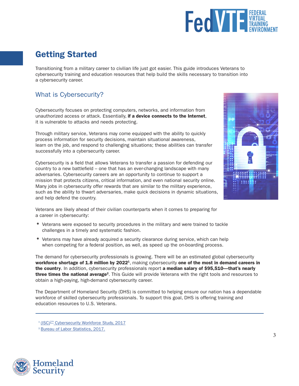

## <span id="page-2-0"></span>Getting Started

Transitioning from a military career to civilian life just got easier. This guide introduces Veterans to cybersecurity training and education resources that help build the skills necessary to transition into a cybersecurity career.

#### What is Cybersecurity?

Cybersecurity focuses on protecting computers, networks, and information from unauthorized access or attack. Essentially, if a device connects to the Internet, it is vulnerable to attacks and needs protecting.

Through military service, Veterans may come equipped with the ability to quickly process information for security decisions, maintain situational awareness, learn on the job, and respond to challenging situations; these abilities can transfer successfully into a cybersecurity career.

Cybersecurity is a field that allows Veterans to transfer a passion for defending our country to a new battlefield – one that has an ever-changing landscape with many adversaries. Cybersecurity careers are an opportunity to continue to support a mission that protects citizens, critical information, and even national security online. Many jobs in cybersecurity offer rewards that are similar to the military experience, such as the ability to thwart adversaries, make quick decisions in dynamic situations, and help defend the country.



Veterans are likely ahead of their civilian counterparts when it comes to preparing for a career in cybersecurity:

- *•* Veterans were exposed to security procedures in the military and were trained to tackle challenges in a timely and systematic fashion.
- Veterans may have already acquired a security clearance during service, which can help when competing for a federal position, as well, as speed up the on-boarding process.

The demand for cybersecurity professionals is growing. There will be an estimated global cybersecurity workforce shortage of 1.8 million by 2022<sup>1</sup>, making cybersecurity one of the most in demand careers in the country. In addition, cybersecurity professionals report a median salary of \$95,510—that's nearly three times the national average<sup>2</sup>. This Guide will provide Veterans with the right tools and resources to obtain a high-paying, high-demand cybersecurity career.

The Department of Homeland Security (DHS) is committed to helping ensure our nation has a dependable workforce of skilled cybersecurity professionals. To support this goal, DHS is offering training and education resources to U.S. Veterans.



**<sup>1</sup>** [\(ISC\)2™ Cybersecurity Workforce Study, 2017](https://www.isc2.org/News-and-Events/Press-Room/Posts/2017/02/13/Cybersecurity-Workforce-Shortage-Continues-to-Grow-Worldwide)

**<sup>2</sup>** [Bureau of Labor Statistics, 2017.](https://www.bls.gov/ooh/computer-and-information-technology/information-security-analysts.htm)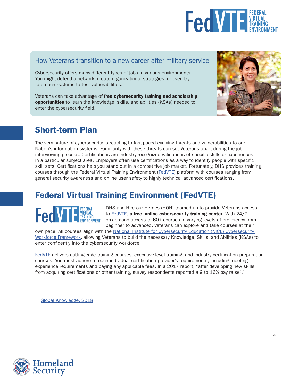

#### <span id="page-3-0"></span>How Veterans transition to a new career after military service

Cybersecurity offers many different types of jobs in various environments. You might defend a network, create organizational strategies, or even try to breach systems to test vulnerabilities.

Veterans can take advantage of free cybersecurity training and scholarship opportunities to learn the knowledge, skills, and abilities (KSAs) needed to enter the cybersecurity field.



#### Short-term Plan

The very nature of cybersecurity is reacting to fast-paced evolving threats and vulnerabilities to our Nation's information systems. Familiarity with these threats can set Veterans apart during the job interviewing process. Certifications are industry-recognized validations of specific skills or experiences in a particular subject area. Employers often use certifications as a way to identify people with specific skill sets. Certifications help you stand out in a competitive job market. Fortunately, DHS provides training courses through the Federal Virtual Training Environment ([FedVTE](https://go.usa.gov/xmV7e)) platform with courses ranging from general security awareness and online user safety to highly technical advanced certifications.

## Federal Virtual Training Environment ([FedVTE](https://go.usa.gov/xmV7e))



DHS and Hire our Heroes (HOH) teamed up to provide Veterans access to [FedVTE,](https://go.usa.gov/xmV7e) a free, online cybersecurity training center. With 24/7 on-demand access to 60+ courses in varying levels of proficiency from beginner to advanced, Veterans can explore and take courses at their

own pace. All courses align with the [National Institute for Cybersecurity Education \(NICE\) Cybersecurity](https://niccs.us-cert.gov/workforce-development/cyber-security-workforce-framework)  [Workforce Framework](https://niccs.us-cert.gov/workforce-development/cyber-security-workforce-framework), allowing Veterans to build the necessary Knowledge, Skills, and Abilities (KSAs) to enter confidently into the cybersecurity workforce.

[FedVTE](https://go.usa.gov/xmV7e) delivers cutting-edge training courses, executive-level training, and industry certification preparation courses. You must adhere to each individual certification provider's requirements, including meeting experience requirements and paying any applicable fees. In a 2017 report, "after developing new skills from acquiring certifications or other training, survey respondents reported a 9 to 16% pay raise<sup>3</sup>."

**<sup>3</sup>** [Global Knowledge, 2018](https://www.globalknowledge.com/fr-fr/-/media/global-knowledge/resource-library/special-reports/2018-it-skills-and-salary-report-pdf.ashx?la=fr-fr&hash=8F86E1D5B0C5C9C2E5D6B83191A3BA6D1C769B40)

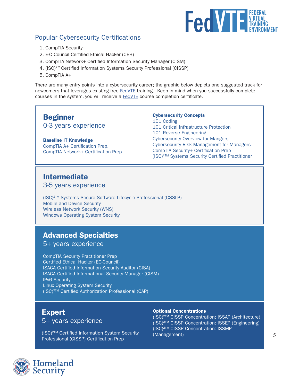

#### Popular Cybersecurity Certifications

- 1. CompTIA Security+
- 2. E-C Council Certified Ethical Hacker (CEH)
- 3. CompTIA Network+ Certified Information Security Manager (CISM)
- 4. (ISC)2™ Certified Information Systems Security Professional (CISSP)
- 5. CompTIA A+

There are many entry points into a cybersecurity career; the graphic below depicts one suggested track for newcomers that leverages existing free [FedVTE](https://go.usa.gov/xmV7e) training. Keep in mind when you successfully complete courses in the system, you will receive a **[FedVTE](https://go.usa.gov/xmV7e)** course completion certificate.

#### Beginner

0-3 years experience

#### Baseline IT Knowledge

CompTIA A+ Certification Prep. CompTIA Network+ Certification Prep

#### Cybersecurity Concepts 101 Coding 101 Critical Infrastructure Protection 101 Reverse Engineering Cybersecurity Overview for Mangers Cybersecurity Risk Management for Managers CompTIA Security+ Certification Prep (ISC)2™ Systems Security Certified Practitioner

#### Intermediate

3-5 years experience

(ISC)2™ Systems Secure Software Lifecycle Professional (CSSLP) Mobile and Device Security Wireless Network Security (WNS) Windows Operating System Security

#### Advanced Specialties

5+ years experience

CompTIA Security Practitioner Prep Certified Ethical Hacker (EC-Council) ISACA Certified Information Security Auditor (CISA) ISACA Certified Informational Security Manager (CISM) IPv6 Security Linux Operating System Security (ISC)2™ Certified Authorization Professional (CAP)

#### Expert

5+ years experience

(ISC)2™ Certified Information System Security Professional (CISSP) Certification Prep

#### Optional Concentrations

(ISC)2™ CISSP Concentration: ISSAP (Architecture) (ISC)2™ CISSP Concentration: ISSEP (Engineering) (ISC)2™ CISSP Concentration: ISSMP (Management) 5

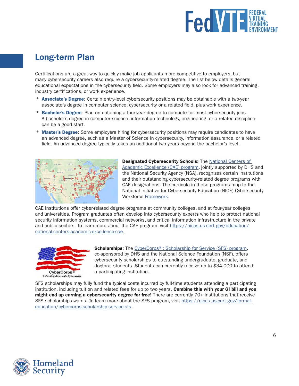

#### <span id="page-5-0"></span>Long-term Plan

Certifications are a great way to quickly make job applicants more competitive to employers, but many cybersecurity careers also require a cybersecurity-related degree. The list below details general educational expectations in the cybersecurity field. Some employers may also look for advanced training, industry certifications, or work experience.

- Associate's Degree: Certain entry-level cybersecurity positions may be obtainable with a two-year associate's degree in computer science, cybersecurity or a related field, plus work experience.
- Bachelor's Degree: Plan on obtaining a four-year degree to compete for most cybersecurity jobs. A bachelor's degree in computer science, information technology, engineering, or a related discipline can be a good start.
- Master's Degree: Some employers hiring for cybersecurity positions may require candidates to have an advanced degree, such as a Master of Science in cybersecurity, information assurance, or a related field. An advanced degree typically takes an additional two years beyond the bachelor's level.



**Designated Cybersecurity Schools: The National Centers of** [Academic Excellence \(CAE\) program,](https://niccs.us-cert.gov/formal-education/national-centers-academic-excellence-cae) jointly supported by DHS and the National Security Agency (NSA), recognizes certain institutions and their outstanding cybersecurity-related degree programs with CAE designations. The curricula in these programs map to the National Initiative for Cybersecurity Education (NICE) Cybersecurity Workforce [Framework.](https://niccs.us-cert.gov/workforce-development/cyber-security-workforce-framework)

CAE institutions offer cyber-related degree programs at community colleges, and at four-year colleges and universities. Program graduates often develop into cybersecurity experts who help to protect national security information systems, commercial networks, and critical information infrastructure in the private and public sectors. To learn more about the CAE program, visit [https://niccs.us-cert.gov/education/](https://niccs.us-cert.gov/education/national-centers-academic-excellence-cae) [national-centers-academic-excellence-cae.](https://niccs.us-cert.gov/education/national-centers-academic-excellence-cae)



**Scholarships:** The [CyberCorps®: Scholarship for Service \(SFS\) program](https://niccs.us-cert.gov/formal-education/cybercorps-scholarship-service-sfs), co-sponsored by DHS and the National Science Foundation (NSF), offers cybersecurity scholarships to outstanding undergraduate, graduate, and doctoral students. Students can currently receive up to \$34,000 to attend a participating institution.

SFS scholarships may fully fund the typical costs incurred by full-time students attending a participating institution, including tuition and related fees for up to two years. Combine this with your GI bill and you might end up earning a cybersecurity degree for free! There are currently 70+ institutions that receive SFS scholarship awards. To learn more about the SFS program, visit [https://niccs.us-cert.gov/formal](https://niccs.us-cert.gov/formal-education/cybercorps-scholarship-service-sfs)[education/cybercorps-scholarship-service-sfs.](https://niccs.us-cert.gov/formal-education/cybercorps-scholarship-service-sfs)

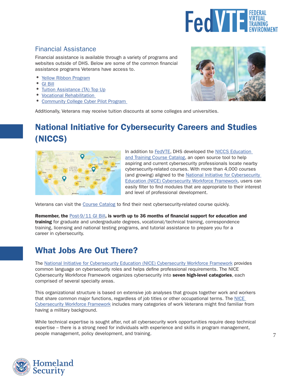

#### <span id="page-6-0"></span>Financial Assistance

Financial assistance is available through a variety of programs and websites outside of DHS. Below are some of the common financial assistance programs Veterans have access to.

- *•* [Yellow Ribbon Program](http://www.benefits.va.gov/gibill/yellow_ribbon.asp)
- *•* [GI Bill](https://www.benefits.va.gov/gibill/)
- *[Tuition Assistance \(TA\) Top Up](https://www.benefits.va.gov/gibill/tuition_assistance.asp)*
- *•* [Vocational Rehabilitation](https://www.benefits.va.gov/VOCREHAB/)
- *•* [Community College Cyber Pilot Program](https://www.nsf.gov/funding/pgm_summ.jsp?pims_id=505573)



[Additionally, Veterans may receive tuition discounts at some colleges and universities.](https://www.nsf.gov/funding/pgm_summ.jsp?pims_id=505573)

## National Initiative for Cybersecurity Careers and Studies (NICCS)



In addition to [FedVTE,](https://go.usa.gov/xmV7e) DHS developed the [NICCS Education](https://niccs.us-cert.gov/training/search)  [and Training Course Catalog,](https://niccs.us-cert.gov/training/search) an open source tool to help aspiring and current cybersecurity professionals locate nearby cybersecurity-related courses. With more than 4,000 courses (and growing) aligned to the [National Initiative for Cybersecurity](https://niccs.us-cert.gov/workforce-development/cyber-security-workforce-framework)  [Education \(NICE\) Cybersecurity Workforce Framework](https://niccs.us-cert.gov/workforce-development/cyber-security-workforce-framework), users can easily filter to find modules that are appropriate to their interest and level of professional development.

Veterans can visit the [Course Catalog](https://niccs.us-cert.gov/training/search) to find their next cybersecurity-related course quickly.

Remember, the [Post-9/11 GI Bill](http://www.benefits.va.gov/gibill/yellow_ribbon.asp), is worth up to 36 months of financial support for education and training for graduate and undergraduate degrees, vocational/technical training, correspondence training, licensing and national testing programs, and tutorial assistance to prepare you for a career in cybersecurity.

#### What Jobs Are Out There?

The [National Initiative for Cybersecurity Education \(NICE\) Cybersecurity Workforce Framework](https://niccs.us-cert.gov/training/national-cybersecurity-workforce-framework) provides common language on cybersecurity roles and helps define professional requirements. The NICE Cybersecurity Workforce Framework organizes cybersecurity into seven high-level categories, each comprised of several specialty areas.

This organizational structure is based on extensive job analyses that groups together work and workers that share common major functions, regardless of job titles or other occupational terms. The [NICE](https://niccs.us-cert.gov/training/national-cybersecurity-workforce-framework)  [Cybersecurity Workforce Framework](https://niccs.us-cert.gov/training/national-cybersecurity-workforce-framework) includes many categories of work Veterans might find familiar from having a military background.

While technical expertise is sought after, not all cybersecurity work opportunities require deep technical expertise – there is a strong need for individuals with experience and skills in program management, people management, policy development, and training.

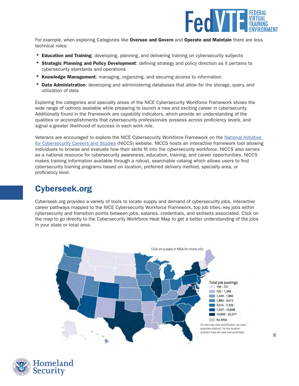

<span id="page-7-0"></span>For example, when exploring Categories like Oversee and Govern and Operate and Maintain there are less technical roles:

- **Education and Training:** developing, planning, and delivering training on cybersecurity subjects
- **Strategic Planning and Policy Development**: defining strategy and policy direction as it pertains to cybersecurity standards and operations
- **Knowledge Management:** managing, organizing, and securing access to information
- **Data Administration**: developing and administering databases that allow for the storage, query, and utilization of data

Exploring the categories and specialty areas of the NICE Cybersecurity Workforce Framework shows the wide range of options available while preparing to launch a new and exciting career in cybersecurity. Additionally found in the Framework are capability indicators, which provide an understanding of the qualities or accomplishments that cybersecurity professionals possess across proficiency levels, and signal a greater likelihood of success in each work role.

Veterans are encouraged to explore the NICE Cybersecurity Workforce Framework on the [National Initiative](http://niccs.us-cert.gov/)  [for Cybersecurity Careers and Studies](http://niccs.us-cert.gov/) (NICCS) website. NICCS hosts an interactive framework tool allowing individuals to browse and evaluate how their skills fit into the cybersecurity workforce. NICCS also serves as a national resource for cybersecurity awareness, education, training, and career opportunities. NICCS makes training information available through a robust, searchable catalog which allows users to find cybersecurity training programs based on location, preferred delivery method, specialty area, or proficiency level.

### Cyberseek.org

Cyberseek.org provides a variety of tools to locate supply and demand of cybersecurity jobs, interactive career pathways mapped to the NICE Cybersecurity Workforce Framework, top job titles, key jobs within cybersecurity and transition points between jobs, salaries, credentials, and skillsets associated. Click on the map to go directly to the Cybersecurity Workforce Heat Map to get a better understanding of the jobs in your state or local area.